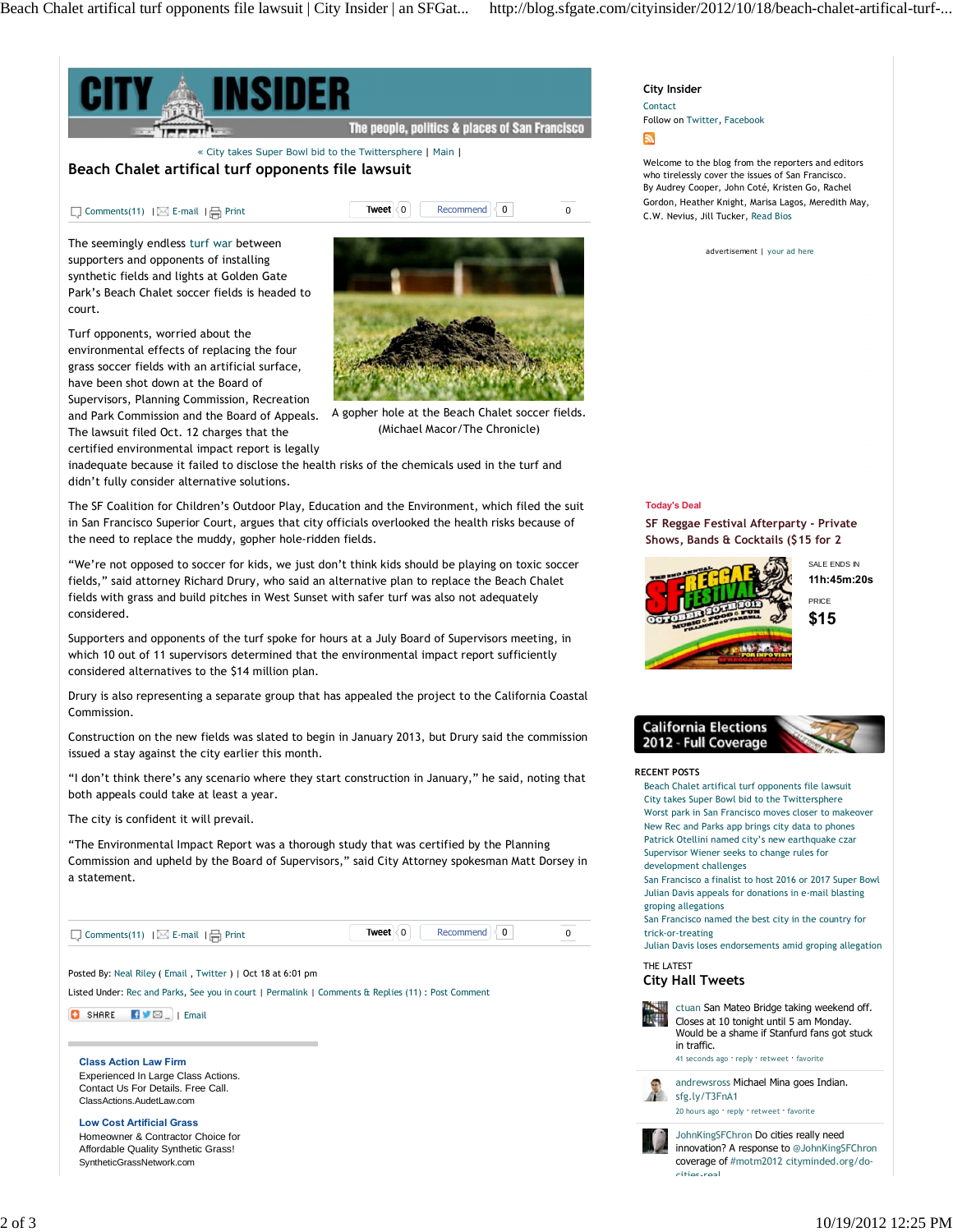

## **City Insider**

Contact Follow on Twitter, Facebook

Welcome to the blog from the reporters and editors who tirelessly cover the issues of San Francisco. By Audrey Cooper, John Coté, Kristen Go, Rachel Gordon, Heather Knight, Marisa Lagos, Meredith May, C.W. Nevius, Jill Tucker, Read Bios



**SF Reggae Festival Afterparty - Private Shows, Bands & Cocktails (\$15 for 2**



SALE ENDS IN **11h:45m:20s**

**\$15** PRICE



## **RECENT POSTS**

Beach Chalet artifical turf opponents file lawsuit City takes Super Bowl bid to the Twittersphere Worst park in San Francisco moves closer to makeover New Rec and Parks app brings city data to phones Patrick Otellini named city's new earthquake czar Supervisor Wiener seeks to change rules for development challenges

San Francisco a finalist to host 2016 or 2017 Super Bowl Julian Davis appeals for donations in e-mail blasting groping allegations

San Francisco named the best city in the country for trick-or-treating

Julian Davis loses endorsements amid groping allegation

THE LATEST

## **City Hall Tweets**



ctuan San Mateo Bridge taking weekend off. Closes at 10 tonight until 5 am Monday. Would be a shame if Stanfurd fans got stuck in traffic.

41 seconds ago · reply · retweet · favorite

andrewsross Michael Mina goes Indian. sfg.ly/T3FnA1

20 hours ago · reply · retweet · favorite

JohnKingSFChron Do cities really need innovation? A response to @JohnKingSFChron coverage of #motm2012 cityminded.org/docities-real…